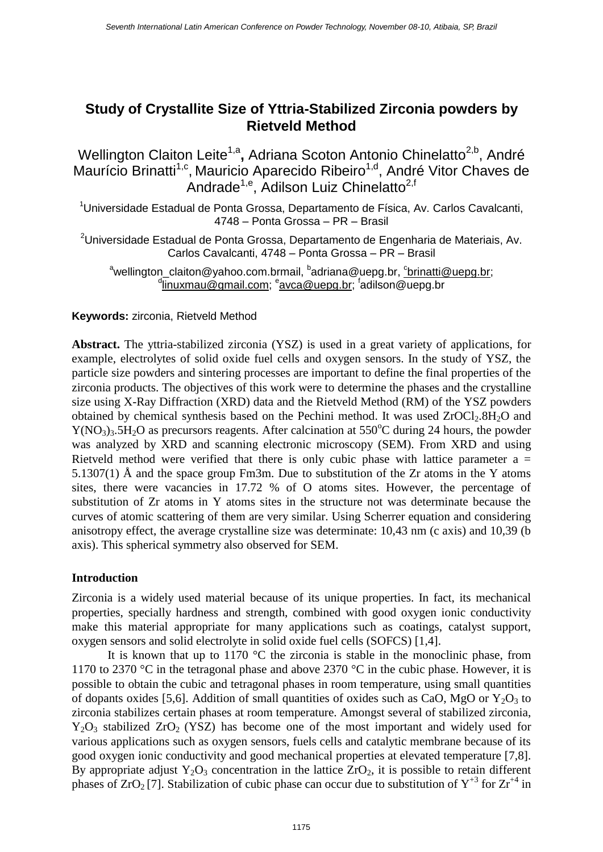# **Study of Crystallite Size of Yttria-Stabilized Zirconia powders by Rietveld Method**

Wellington Claiton Leite<sup>1,a</sup>, Adriana Scoton Antonio Chinelatto<sup>2,b</sup>, André Maurício Brinatti<sup>1,c</sup>, Mauricio Aparecido Ribeiro<sup>1,d</sup>, André Vitor Chaves de Andrade<sup>1,e</sup>, Adilson Luiz Chinelatto<sup>2,f</sup>

<sup>1</sup>Universidade Estadual de Ponta Grossa, Departamento de Física, Av. Carlos Cavalcanti, 4748 – Ponta Grossa – PR – Brasil

<sup>2</sup>Universidade Estadual de Ponta Grossa, Departamento de Engenharia de Materiais, Av. Carlos Cavalcanti, 4748 – Ponta Grossa – PR – Brasil

<sup>a</sup>wellington\_claiton@yahoo.com.brmail, <sup>b</sup>adriana@uepg.br, <u>°brinatti@uepg.br</u>; <sup>d</sup><u>[linuxmau@gmail.com;](mailto:linuxmau@gmail.com) <sup>e</sup>avca@uepg.br</u>; <sup>f</sup>adilson@uepg.br

# **Keywords:** zirconia, Rietveld Method

**Abstract.** The yttria-stabilized zirconia (YSZ) is used in a great variety of applications, for example, electrolytes of solid oxide fuel cells and oxygen sensors. In the study of YSZ, the particle size powders and sintering processes are important to define the final properties of the zirconia products. The objectives of this work were to determine the phases and the crystalline size using X-Ray Diffraction (XRD) data and the Rietveld Method (RM) of the YSZ powders obtained by chemical synthesis based on the Pechini method. It was used  $ZrOCl<sub>2</sub>8H<sub>2</sub>O$  and  $Y(NO<sub>3</sub>)<sub>3</sub>$ .5H<sub>2</sub>O as precursors reagents. After calcination at 550<sup>o</sup>C during 24 hours, the powder was analyzed by XRD and scanning electronic microscopy (SEM). From XRD and using Rietveld method were verified that there is only cubic phase with lattice parameter  $a =$ 5.1307(1) Å and the space group Fm3m. Due to substitution of the Zr atoms in the Y atoms sites, there were vacancies in 17.72 % of O atoms sites. However, the percentage of substitution of Zr atoms in Y atoms sites in the structure not was determinate because the curves of atomic scattering of them are very similar. Using Scherrer equation and considering anisotropy effect, the average crystalline size was determinate: 10,43 nm (c axis) and 10,39 (b axis). This spherical symmetry also observed for SEM.

# **Introduction**

Zirconia is a widely used material because of its unique properties. In fact, its mechanical properties, specially hardness and strength, combined with good oxygen ionic conductivity make this material appropriate for many applications such as coatings, catalyst support, oxygen sensors and solid electrolyte in solid oxide fuel cells (SOFCS) [1,4].

It is known that up to 1170 °C the zirconia is stable in the monoclinic phase, from 1170 to 2370 °C in the tetragonal phase and above 2370 °C in the cubic phase. However, it is possible to obtain the cubic and tetragonal phases in room temperature, using small quantities of dopants oxides [5,6]. Addition of small quantities of oxides such as CaO, MgO or  $Y_2O_3$  to zirconia stabilizes certain phases at room temperature. Amongst several of stabilized zirconia,  $Y_2O_3$  stabilized  $ZrO_2$  (YSZ) has become one of the most important and widely used for various applications such as oxygen sensors, fuels cells and catalytic membrane because of its good oxygen ionic conductivity and good mechanical properties at elevated temperature [7,8]. By appropriate adjust  $Y_2O_3$  concentration in the lattice  $ZrO_2$ , it is possible to retain different phases of  $ZrO_2$  [7]. Stabilization of cubic phase can occur due to substitution of  $Y^{+3}$  for  $Zr^{+4}$  in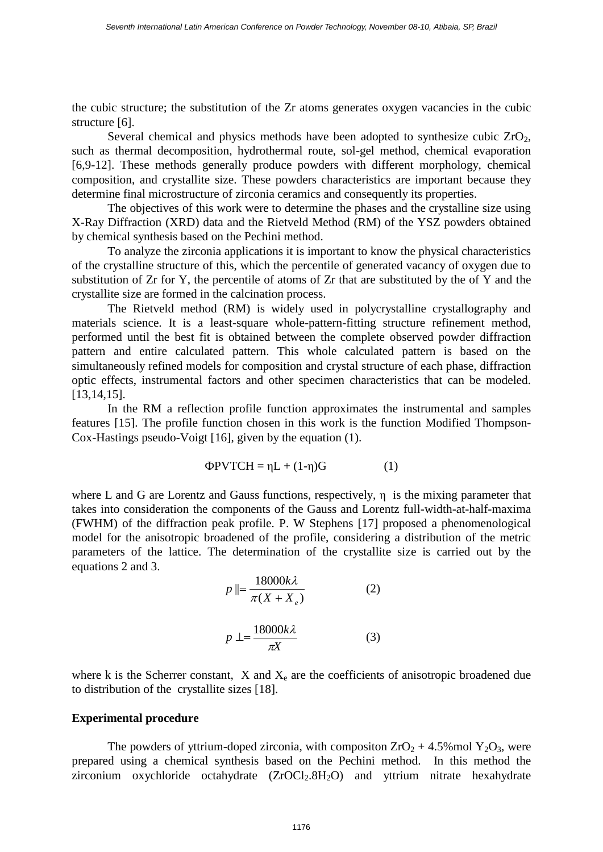the cubic structure; the substitution of the Zr atoms generates oxygen vacancies in the cubic structure [6].

Several chemical and physics methods have been adopted to synthesize cubic  $ZrO<sub>2</sub>$ , such as thermal decomposition, hydrothermal route, sol-gel method, chemical evaporation [6,9-12]. These methods generally produce powders with different morphology, chemical composition, and crystallite size. These powders characteristics are important because they determine final microstructure of zirconia ceramics and consequently its properties.

The objectives of this work were to determine the phases and the crystalline size using X-Ray Diffraction (XRD) data and the Rietveld Method (RM) of the YSZ powders obtained by chemical synthesis based on the Pechini method.

To analyze the zirconia applications it is important to know the physical characteristics of the crystalline structure of this, which the percentile of generated vacancy of oxygen due to substitution of Zr for Y, the percentile of atoms of Zr that are substituted by the of Y and the crystallite size are formed in the calcination process.

The Rietveld method (RM) is widely used in polycrystalline crystallography and materials science. It is a least-square whole-pattern-fitting structure refinement method, performed until the best fit is obtained between the complete observed powder diffraction pattern and entire calculated pattern. This whole calculated pattern is based on the simultaneously refined models for composition and crystal structure of each phase, diffraction optic effects, instrumental factors and other specimen characteristics that can be modeled. [13,14,15].

In the RM a reflection profile function approximates the instrumental and samples features [15]. The profile function chosen in this work is the function Modified Thompson-Cox-Hastings pseudo-Voigt [16], given by the equation (1).

$$
\Phi \text{PVTCH} = \eta \text{L} + (1 - \eta) \text{G} \tag{1}
$$

where L and G are Lorentz and Gauss functions, respectively, η is the mixing parameter that takes into consideration the components of the Gauss and Lorentz full-width-at-half-maxima (FWHM) of the diffraction peak profile. P. W Stephens [17] proposed a phenomenological model for the anisotropic broadened of the profile, considering a distribution of the metric parameters of the lattice. The determination of the crystallite size is carried out by the equations 2 and 3.

$$
p \parallel = \frac{18000k\lambda}{\pi(X + X_e)}
$$
 (2)

$$
p \perp = \frac{18000k\lambda}{\pi X} \tag{3}
$$

where k is the Scherrer constant,  $X$  and  $X<sub>e</sub>$  are the coefficients of anisotropic broadened due to distribution of the crystallite sizes [18].

#### **Experimental procedure**

The powders of yttrium-doped zirconia, with compositon  $ZrO<sub>2</sub> + 4.5\%$  mol  $Y<sub>2</sub>O<sub>3</sub>$ , were prepared using a chemical synthesis based on the Pechini method. In this method the zirconium oxychloride octahydrate  $(ZrOCl<sub>2</sub>.8H<sub>2</sub>O)$  and yttrium nitrate hexahydrate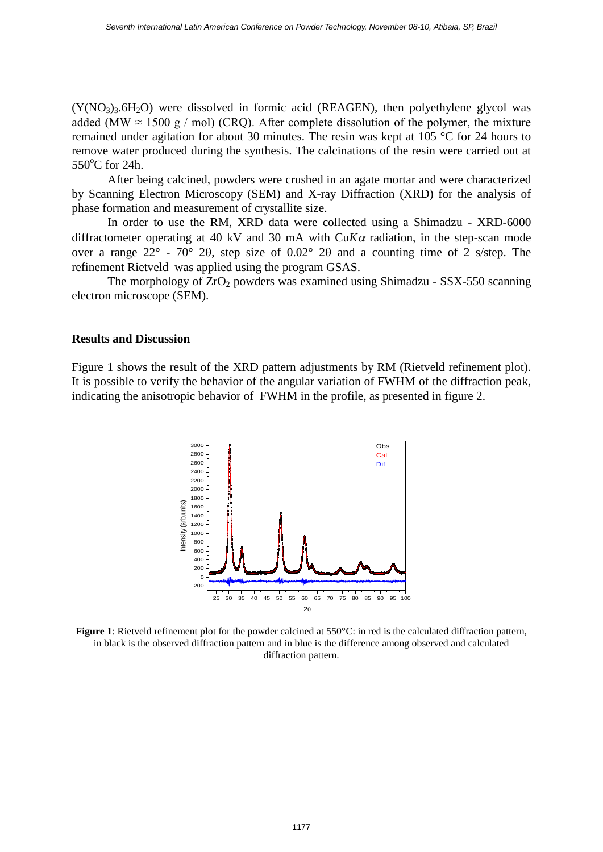$(Y(NO<sub>3</sub>)<sub>3</sub>$ .6H<sub>2</sub>O) were dissolved in formic acid (REAGEN), then polyethylene glycol was added (MW  $\approx$  1500 g / mol) (CRO). After complete dissolution of the polymer, the mixture remained under agitation for about 30 minutes. The resin was kept at 105 °C for 24 hours to remove water produced during the synthesis. The calcinations of the resin were carried out at  $550^{\circ}$ C for 24h.

After being calcined, powders were crushed in an agate mortar and were characterized by Scanning Electron Microscopy (SEM) and X-ray Diffraction (XRD) for the analysis of phase formation and measurement of crystallite size.

In order to use the RM, XRD data were collected using a Shimadzu - XRD-6000 diffractometer operating at 40 kV and 30 mA with  $CuKa$  radiation, in the step-scan mode over a range  $22^{\circ}$  -  $70^{\circ}$  2 $\theta$ , step size of  $0.02^{\circ}$  2 $\theta$  and a counting time of 2 s/step. The refinement Rietveld was applied using the program GSAS.

The morphology of  $ZrO<sub>2</sub>$  powders was examined using Shimadzu - SSX-550 scanning electron microscope (SEM).

### **Results and Discussion**

Figure 1 shows the result of the XRD pattern adjustments by RM (Rietveld refinement plot). It is possible to verify the behavior of the angular variation of FWHM of the diffraction peak, indicating the anisotropic behavior of FWHM in the profile, as presented in figure 2.



**Figure 1**: Rietveld refinement plot for the powder calcined at 550°C: in red is the calculated diffraction pattern, in black is the observed diffraction pattern and in blue is the difference among observed and calculated diffraction pattern.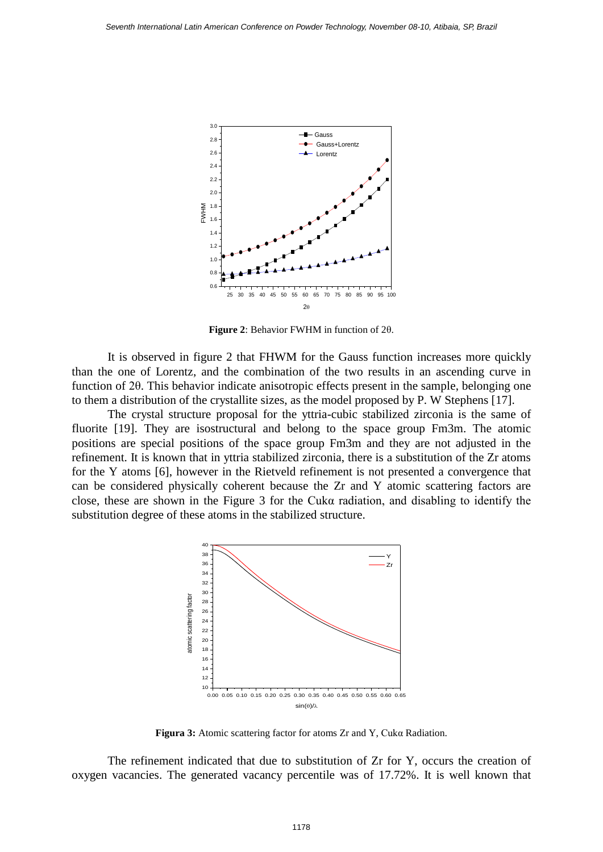

**Figure 2**: Behavior FWHM in function of 2θ.

It is observed in figure 2 that FHWM for the Gauss function increases more quickly than the one of Lorentz, and the combination of the two results in an ascending curve in function of 2θ. This behavior indicate anisotropic effects present in the sample, belonging one to them a distribution of the crystallite sizes, as the model proposed by P. W Stephens [17].

The crystal structure proposal for the yttria-cubic stabilized zirconia is the same of fluorite [19]. They are isostructural and belong to the space group Fm3m. The atomic positions are special positions of the space group Fm3m and they are not adjusted in the refinement. It is known that in yttria stabilized zirconia, there is a substitution of the Zr atoms for the Y atoms [6], however in the Rietveld refinement is not presented a convergence that can be considered physically coherent because the Zr and Y atomic scattering factors are close, these are shown in the Figure 3 for the Cukα radiation, and disabling to identify the substitution degree of these atoms in the stabilized structure.



**Figura 3:** Atomic scattering factor for atoms Zr and Y, Cukα Radiation.

The refinement indicated that due to substitution of Zr for Y, occurs the creation of oxygen vacancies. The generated vacancy percentile was of 17.72%. It is well known that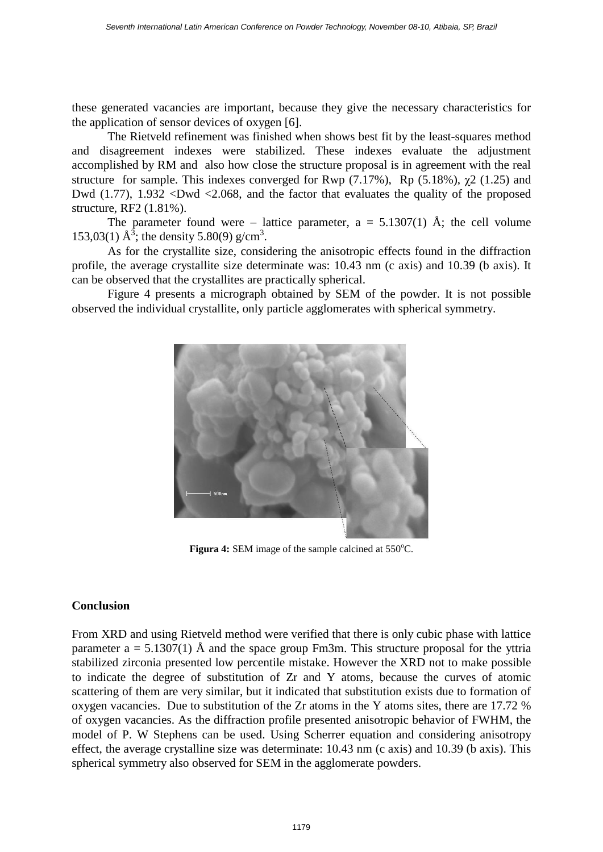these generated vacancies are important, because they give the necessary characteristics for the application of sensor devices of oxygen [6].

The Rietveld refinement was finished when shows best fit by the least-squares method and disagreement indexes were stabilized. These indexes evaluate the adjustment accomplished by RM and also how close the structure proposal is in agreement with the real structure for sample. This indexes converged for Rwp  $(7.17\%)$ , Rp  $(5.18\%)$ ,  $\chi$ 2  $(1.25)$  and Dwd (1.77), 1.932 <Dwd <2.068, and the factor that evaluates the quality of the proposed structure, RF2 (1.81%).

The parameter found were – lattice parameter,  $a = 5.1307(1)$  Å; the cell volume 153,03(1)  $\AA^3$ ; the density 5.80(9) g/cm<sup>3</sup>.

As for the crystallite size, considering the anisotropic effects found in the diffraction profile, the average crystallite size determinate was: 10.43 nm (c axis) and 10.39 (b axis). It can be observed that the crystallites are practically spherical.

Figure 4 presents a micrograph obtained by SEM of the powder. It is not possible observed the individual crystallite, only particle agglomerates with spherical symmetry.



**Figura 4: SEM** image of the sample calcined at 550°C.

## **Conclusion**

From XRD and using Rietveld method were verified that there is only cubic phase with lattice parameter  $a = 5.1307(1)$  Å and the space group Fm3m. This structure proposal for the yttria stabilized zirconia presented low percentile mistake. However the XRD not to make possible to indicate the degree of substitution of Zr and Y atoms, because the curves of atomic scattering of them are very similar, but it indicated that substitution exists due to formation of oxygen vacancies. Due to substitution of the Zr atoms in the Y atoms sites, there are 17.72 % of oxygen vacancies. As the diffraction profile presented anisotropic behavior of FWHM, the model of P. W Stephens can be used. Using Scherrer equation and considering anisotropy effect, the average crystalline size was determinate: 10.43 nm (c axis) and 10.39 (b axis). This spherical symmetry also observed for SEM in the agglomerate powders.